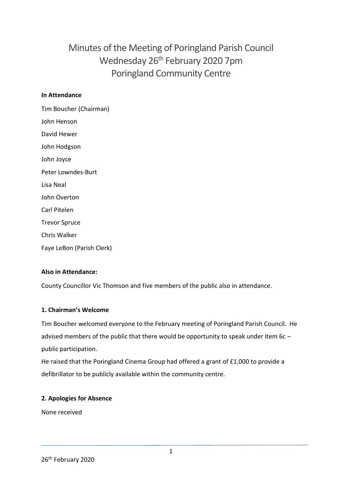# Minutes of the Meeting of Poringland Parish Council Wednesday 26th February 2020 7pm Poringland Community Centre

#### **In Attendance**

Tim Boucher (Chairman) John Henson David Hewer John Hodgson John Joyce Peter Lowndes-Burt Lisa Neal John Overton Carl Pitelen Trevor Spruce Chris Walker Faye LeBon (Parish Clerk)

# **Also in Attendance:**

County Councillor Vic Thomson and five members of the public also in attendance.

#### **1. Chairman's Welcome**

Tim Boucher welcomed everyone to the February meeting of Poringland Parish Council. He advised members of the public that there would be opportunity to speak under item 6c – public participation.

He raised that the Poringland Cinema Group had offered a grant of £1,000 to provide a defibrillator to be publicly available within the community centre.

#### **2. Apologies for Absence**

None received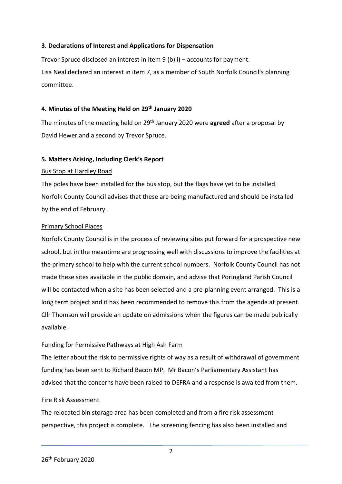#### **3. Declarations of Interest and Applications for Dispensation**

Trevor Spruce disclosed an interest in item 9 (b)ii) – accounts for payment. Lisa Neal declared an interest in item 7, as a member of South Norfolk Council's planning committee.

#### **4. Minutes of the Meeting Held on 29th January 2020**

The minutes of the meeting held on 29th January 2020 were **agreed** after a proposal by David Hewer and a second by Trevor Spruce.

#### **5. Matters Arising, Including Clerk's Report**

#### Bus Stop at Hardley Road

The poles have been installed for the bus stop, but the flags have yet to be installed. Norfolk County Council advises that these are being manufactured and should be installed by the end of February.

#### Primary School Places

Norfolk County Council is in the process of reviewing sites put forward for a prospective new school, but in the meantime are progressing well with discussions to improve the facilities at the primary school to help with the current school numbers. Norfolk County Council has not made these sites available in the public domain, and advise that Poringland Parish Council will be contacted when a site has been selected and a pre-planning event arranged. This is a long term project and it has been recommended to remove this from the agenda at present. Cllr Thomson will provide an update on admissions when the figures can be made publically available.

#### Funding for Permissive Pathways at High Ash Farm

The letter about the risk to permissive rights of way as a result of withdrawal of government funding has been sent to Richard Bacon MP. Mr Bacon's Parliamentary Assistant has advised that the concerns have been raised to DEFRA and a response is awaited from them.

#### Fire Risk Assessment

The relocated bin storage area has been completed and from a fire risk assessment perspective, this project is complete. The screening fencing has also been installed and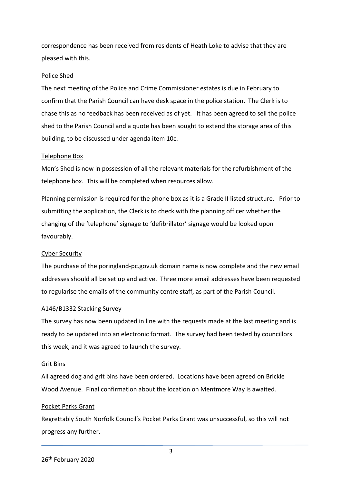correspondence has been received from residents of Heath Loke to advise that they are pleased with this.

#### Police Shed

The next meeting of the Police and Crime Commissioner estates is due in February to confirm that the Parish Council can have desk space in the police station. The Clerk is to chase this as no feedback has been received as of yet. It has been agreed to sell the police shed to the Parish Council and a quote has been sought to extend the storage area of this building, to be discussed under agenda item 10c.

#### Telephone Box

Men's Shed is now in possession of all the relevant materials for the refurbishment of the telephone box. This will be completed when resources allow.

Planning permission is required for the phone box as it is a Grade II listed structure. Prior to submitting the application, the Clerk is to check with the planning officer whether the changing of the 'telephone' signage to 'defibrillator' signage would be looked upon favourably.

#### Cyber Security

The purchase of the poringland-pc.gov.uk domain name is now complete and the new email addresses should all be set up and active. Three more email addresses have been requested to regularise the emails of the community centre staff, as part of the Parish Council.

#### A146/B1332 Stacking Survey

The survey has now been updated in line with the requests made at the last meeting and is ready to be updated into an electronic format. The survey had been tested by councillors this week, and it was agreed to launch the survey.

#### Grit Bins

All agreed dog and grit bins have been ordered. Locations have been agreed on Brickle Wood Avenue. Final confirmation about the location on Mentmore Way is awaited.

#### Pocket Parks Grant

Regrettably South Norfolk Council's Pocket Parks Grant was unsuccessful, so this will not progress any further.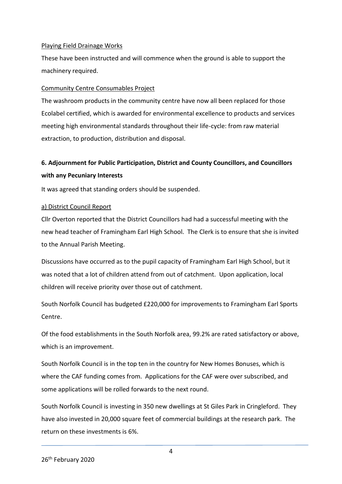#### Playing Field Drainage Works

These have been instructed and will commence when the ground is able to support the machinery required.

#### Community Centre Consumables Project

The washroom products in the community centre have now all been replaced for those Ecolabel certified, which is awarded for environmental excellence to products and services meeting high environmental standards throughout their life-cycle: from raw material extraction, to production, distribution and disposal.

# **6. Adjournment for Public Participation, District and County Councillors, and Councillors with any Pecuniary Interests**

It was agreed that standing orders should be suspended.

#### a) District Council Report

Cllr Overton reported that the District Councillors had had a successful meeting with the new head teacher of Framingham Earl High School. The Clerk is to ensure that she is invited to the Annual Parish Meeting.

Discussions have occurred as to the pupil capacity of Framingham Earl High School, but it was noted that a lot of children attend from out of catchment. Upon application, local children will receive priority over those out of catchment.

South Norfolk Council has budgeted £220,000 for improvements to Framingham Earl Sports Centre.

Of the food establishments in the South Norfolk area, 99.2% are rated satisfactory or above, which is an improvement.

South Norfolk Council is in the top ten in the country for New Homes Bonuses, which is where the CAF funding comes from. Applications for the CAF were over subscribed, and some applications will be rolled forwards to the next round.

South Norfolk Council is investing in 350 new dwellings at St Giles Park in Cringleford. They have also invested in 20,000 square feet of commercial buildings at the research park. The return on these investments is 6%.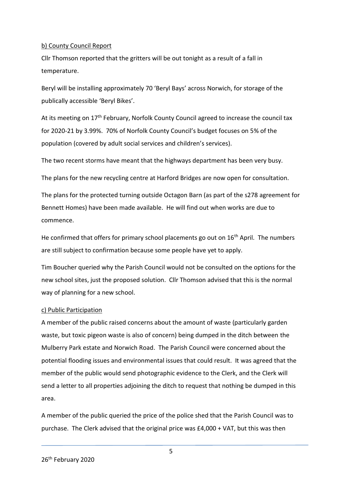#### b) County Council Report

Cllr Thomson reported that the gritters will be out tonight as a result of a fall in temperature.

Beryl will be installing approximately 70 'Beryl Bays' across Norwich, for storage of the publically accessible 'Beryl Bikes'.

At its meeting on 17th February, Norfolk County Council agreed to increase the council tax for 2020-21 by 3.99%. 70% of Norfolk County Council's budget focuses on 5% of the population (covered by adult social services and children's services).

The two recent storms have meant that the highways department has been very busy.

The plans for the new recycling centre at Harford Bridges are now open for consultation.

The plans for the protected turning outside Octagon Barn (as part of the s278 agreement for Bennett Homes) have been made available. He will find out when works are due to commence.

He confirmed that offers for primary school placements go out on  $16<sup>th</sup>$  April. The numbers are still subject to confirmation because some people have yet to apply.

Tim Boucher queried why the Parish Council would not be consulted on the options for the new school sites, just the proposed solution. Cllr Thomson advised that this is the normal way of planning for a new school.

#### c) Public Participation

A member of the public raised concerns about the amount of waste (particularly garden waste, but toxic pigeon waste is also of concern) being dumped in the ditch between the Mulberry Park estate and Norwich Road. The Parish Council were concerned about the potential flooding issues and environmental issues that could result. It was agreed that the member of the public would send photographic evidence to the Clerk, and the Clerk will send a letter to all properties adjoining the ditch to request that nothing be dumped in this area.

A member of the public queried the price of the police shed that the Parish Council was to purchase. The Clerk advised that the original price was £4,000 + VAT, but this was then

5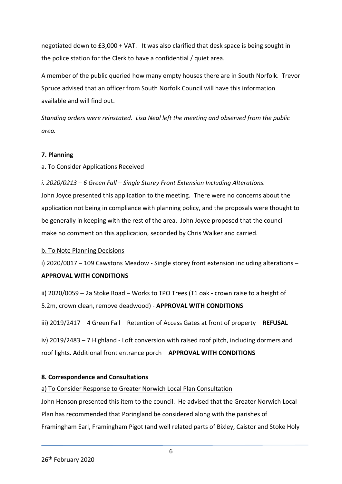negotiated down to £3,000 + VAT. It was also clarified that desk space is being sought in the police station for the Clerk to have a confidential / quiet area.

A member of the public queried how many empty houses there are in South Norfolk. Trevor Spruce advised that an officer from South Norfolk Council will have this information available and will find out.

*Standing orders were reinstated. Lisa Neal left the meeting and observed from the public area.*

#### **7. Planning**

# a. To Consider Applications Received

#### *i. 2020/0213 – 6 Green Fall – Single Storey Front Extension Including Alterations.*

John Joyce presented this application to the meeting. There were no concerns about the application not being in compliance with planning policy, and the proposals were thought to be generally in keeping with the rest of the area. John Joyce proposed that the council make no comment on this application, seconded by Chris Walker and carried.

#### b. To Note Planning Decisions

i) 2020/0017 - 109 Cawstons Meadow - Single storey front extension including alterations -

#### **APPROVAL WITH CONDITIONS**

ii) 2020/0059 – 2a Stoke Road – Works to TPO Trees (T1 oak - crown raise to a height of 5.2m, crown clean, remove deadwood) - **APPROVAL WITH CONDITIONS**

iii) 2019/2417 – 4 Green Fall – Retention of Access Gates at front of property – **REFUSAL**

iv) 2019/2483 – 7 Highland - Loft conversion with raised roof pitch, including dormers and roof lights. Additional front entrance porch – **APPROVAL WITH CONDITIONS**

# **8. Correspondence and Consultations**

#### a) To Consider Response to Greater Norwich Local Plan Consultation

John Henson presented this item to the council. He advised that the Greater Norwich Local Plan has recommended that Poringland be considered along with the parishes of Framingham Earl, Framingham Pigot (and well related parts of Bixley, Caistor and Stoke Holy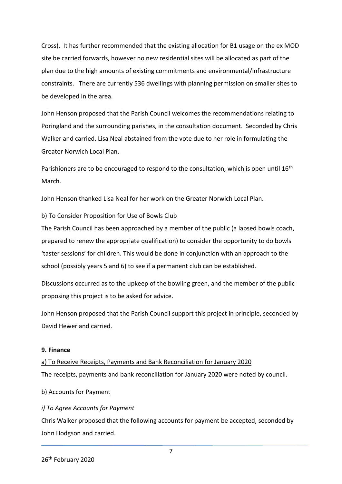Cross). It has further recommended that the existing allocation for B1 usage on the ex MOD site be carried forwards, however no new residential sites will be allocated as part of the plan due to the high amounts of existing commitments and environmental/infrastructure constraints. There are currently 536 dwellings with planning permission on smaller sites to be developed in the area.

John Henson proposed that the Parish Council welcomes the recommendations relating to Poringland and the surrounding parishes, in the consultation document. Seconded by Chris Walker and carried. Lisa Neal abstained from the vote due to her role in formulating the Greater Norwich Local Plan.

Parishioners are to be encouraged to respond to the consultation, which is open until 16<sup>th</sup> March.

John Henson thanked Lisa Neal for her work on the Greater Norwich Local Plan.

#### b) To Consider Proposition for Use of Bowls Club

The Parish Council has been approached by a member of the public (a lapsed bowls coach, prepared to renew the appropriate qualification) to consider the opportunity to do bowls 'taster sessions' for children. This would be done in conjunction with an approach to the school (possibly years 5 and 6) to see if a permanent club can be established.

Discussions occurred as to the upkeep of the bowling green, and the member of the public proposing this project is to be asked for advice.

John Henson proposed that the Parish Council support this project in principle, seconded by David Hewer and carried.

#### **9. Finance**

a) To Receive Receipts, Payments and Bank Reconciliation for January 2020 The receipts, payments and bank reconciliation for January 2020 were noted by council.

# b) Accounts for Payment

# *i) To Agree Accounts for Payment*

Chris Walker proposed that the following accounts for payment be accepted, seconded by John Hodgson and carried.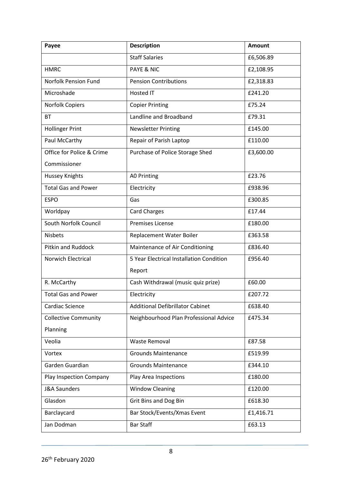| Payee                       | <b>Description</b>                       | <b>Amount</b> |
|-----------------------------|------------------------------------------|---------------|
|                             | <b>Staff Salaries</b>                    | £6,506.89     |
| <b>HMRC</b>                 | <b>PAYE &amp; NIC</b>                    | £2,108.95     |
| Norfolk Pension Fund        | <b>Pension Contributions</b>             | £2,318.83     |
| Microshade                  | <b>Hosted IT</b>                         | £241.20       |
| Norfolk Copiers             | <b>Copier Printing</b>                   | £75.24        |
| <b>BT</b>                   | Landline and Broadband                   | £79.31        |
| <b>Hollinger Print</b>      | <b>Newsletter Printing</b>               | £145.00       |
| Paul McCarthy               | Repair of Parish Laptop                  | £110.00       |
| Office for Police & Crime   | Purchase of Police Storage Shed          | £3,600.00     |
| Commissioner                |                                          |               |
| Hussey Knights              | <b>AO Printing</b>                       | £23.76        |
| <b>Total Gas and Power</b>  | Electricity                              | £938.96       |
| <b>ESPO</b>                 | Gas                                      | £300.85       |
| Worldpay                    | <b>Card Charges</b>                      | £17.44        |
| South Norfolk Council       | <b>Premises License</b>                  | £180.00       |
| <b>Nisbets</b>              | Replacement Water Boiler                 | £363.58       |
| <b>Pitkin and Ruddock</b>   | Maintenance of Air Conditioning          | £836.40       |
| Norwich Electrical          | 5 Year Electrical Installation Condition | £956.40       |
|                             | Report                                   |               |
| R. McCarthy                 | Cash Withdrawal (music quiz prize)       | £60.00        |
| <b>Total Gas and Power</b>  | Electricity                              | £207.72       |
| Cardiac Science             | <b>Additional Defibrillator Cabinet</b>  | £638.40       |
| <b>Collective Community</b> | Neighbourhood Plan Professional Advice   | £475.34       |
| Planning                    |                                          |               |
| Veolia                      | <b>Waste Removal</b>                     | £87.58        |
| Vortex                      | <b>Grounds Maintenance</b>               | £519.99       |
| Garden Guardian             | <b>Grounds Maintenance</b>               | £344.10       |
| Play Inspection Company     | Play Area Inspections                    | £180.00       |
| <b>J&amp;A Saunders</b>     | <b>Window Cleaning</b>                   | £120.00       |
| Glasdon                     | <b>Grit Bins and Dog Bin</b>             | £618.30       |
| Barclaycard                 | Bar Stock/Events/Xmas Event              | £1,416.71     |
| Jan Dodman                  | <b>Bar Staff</b>                         | £63.13        |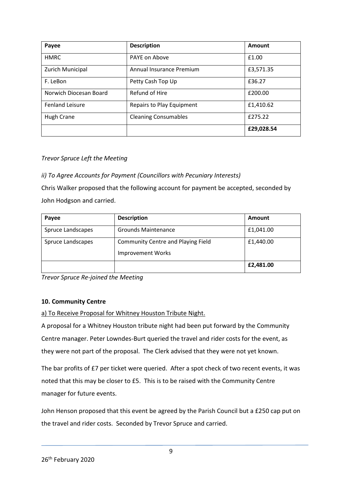| Payee                  | <b>Description</b>               | Amount     |
|------------------------|----------------------------------|------------|
| <b>HMRC</b>            | PAYE on Above                    | £1.00      |
| Zurich Municipal       | Annual Insurance Premium         | £3,571.35  |
| F. LeBon               | Petty Cash Top Up                | £36.27     |
| Norwich Diocesan Board | Refund of Hire                   | £200.00    |
| <b>Fenland Leisure</b> | <b>Repairs to Play Equipment</b> | £1,410.62  |
| <b>Hugh Crane</b>      | <b>Cleaning Consumables</b>      | £275.22    |
|                        |                                  | £29,028.54 |

#### *Trevor Spruce Left the Meeting*

#### *ii) To Agree Accounts for Payment (Councillors with Pecuniary Interests)*

Chris Walker proposed that the following account for payment be accepted, seconded by John Hodgson and carried.

| Payee             | <b>Description</b>                                             | <b>Amount</b> |
|-------------------|----------------------------------------------------------------|---------------|
| Spruce Landscapes | <b>Grounds Maintenance</b>                                     | £1,041.00     |
| Spruce Landscapes | Community Centre and Playing Field<br><b>Improvement Works</b> | £1,440.00     |
|                   |                                                                | £2,481.00     |

*Trevor Spruce Re-joined the Meeting*

#### **10. Community Centre**

a) To Receive Proposal for Whitney Houston Tribute Night.

A proposal for a Whitney Houston tribute night had been put forward by the Community Centre manager. Peter Lowndes-Burt queried the travel and rider costs for the event, as they were not part of the proposal. The Clerk advised that they were not yet known.

The bar profits of £7 per ticket were queried. After a spot check of two recent events, it was noted that this may be closer to £5. This is to be raised with the Community Centre manager for future events.

John Henson proposed that this event be agreed by the Parish Council but a £250 cap put on the travel and rider costs. Seconded by Trevor Spruce and carried.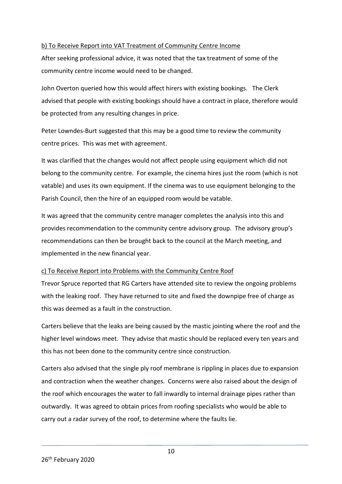#### b) To Receive Report into VAT Treatment of Community Centre Income

After seeking professional advice, it was noted that the tax treatment of some of the community centre income would need to be changed.

John Overton queried how this would affect hirers with existing bookings. The Clerk advised that people with existing bookings should have a contract in place, therefore would be protected from any resulting changes in price.

Peter Lowndes-Burt suggested that this may be a good time to review the community centre prices. This was met with agreement.

It was clarified that the changes would not affect people using equipment which did not belong to the community centre. For example, the cinema hires just the room (which is not vatable) and uses its own equipment. If the cinema was to use equipment belonging to the Parish Council, then the hire of an equipped room would be vatable.

It was agreed that the community centre manager completes the analysis into this and provides recommendation to the community centre advisory group. The advisory group's recommendations can then be brought back to the council at the March meeting, and implemented in the new financial year.

#### c) To Receive Report into Problems with the Community Centre Roof

Trevor Spruce reported that RG Carters have attended site to review the ongoing problems with the leaking roof. They have returned to site and fixed the downpipe free of charge as this was deemed as a fault in the construction.

Carters believe that the leaks are being caused by the mastic jointing where the roof and the higher level windows meet. They advise that mastic should be replaced every ten years and this has not been done to the community centre since construction.

Carters also advised that the single ply roof membrane is rippling in places due to expansion and contraction when the weather changes. Concerns were also raised about the design of the roof which encourages the water to fall inwardly to internal drainage pipes rather than outwardly. It was agreed to obtain prices from roofing specialists who would be able to carry out a radar survey of the roof, to determine where the faults lie.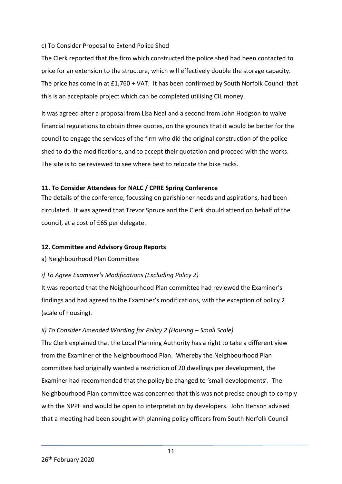#### c) To Consider Proposal to Extend Police Shed

The Clerk reported that the firm which constructed the police shed had been contacted to price for an extension to the structure, which will effectively double the storage capacity. The price has come in at £1,760 + VAT. It has been confirmed by South Norfolk Council that this is an acceptable project which can be completed utilising CIL money.

It was agreed after a proposal from Lisa Neal and a second from John Hodgson to waive financial regulations to obtain three quotes, on the grounds that it would be better for the council to engage the services of the firm who did the original construction of the police shed to do the modifications, and to accept their quotation and proceed with the works. The site is to be reviewed to see where best to relocate the bike racks.

#### **11. To Consider Attendees for NALC / CPRE Spring Conference**

The details of the conference, focussing on parishioner needs and aspirations, had been circulated. It was agreed that Trevor Spruce and the Clerk should attend on behalf of the council, at a cost of £65 per delegate.

# **12. Committee and Advisory Group Reports**

#### a) Neighbourhood Plan Committee

# *i) To Agree Examiner's Modifications (Excluding Policy 2)*

It was reported that the Neighbourhood Plan committee had reviewed the Examiner's findings and had agreed to the Examiner's modifications, with the exception of policy 2 (scale of housing).

# *ii) To Consider Amended Wording for Policy 2 (Housing – Small Scale)*

The Clerk explained that the Local Planning Authority has a right to take a different view from the Examiner of the Neighbourhood Plan. Whereby the Neighbourhood Plan committee had originally wanted a restriction of 20 dwellings per development, the Examiner had recommended that the policy be changed to 'small developments'. The Neighbourhood Plan committee was concerned that this was not precise enough to comply with the NPPF and would be open to interpretation by developers. John Henson advised that a meeting had been sought with planning policy officers from South Norfolk Council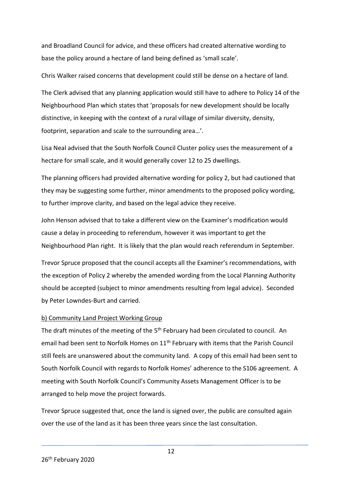and Broadland Council for advice, and these officers had created alternative wording to base the policy around a hectare of land being defined as 'small scale'.

Chris Walker raised concerns that development could still be dense on a hectare of land.

The Clerk advised that any planning application would still have to adhere to Policy 14 of the Neighbourhood Plan which states that 'proposals for new development should be locally distinctive, in keeping with the context of a rural village of similar diversity, density, footprint, separation and scale to the surrounding area…'.

Lisa Neal advised that the South Norfolk Council Cluster policy uses the measurement of a hectare for small scale, and it would generally cover 12 to 25 dwellings.

The planning officers had provided alternative wording for policy 2, but had cautioned that they may be suggesting some further, minor amendments to the proposed policy wording, to further improve clarity, and based on the legal advice they receive.

John Henson advised that to take a different view on the Examiner's modification would cause a delay in proceeding to referendum, however it was important to get the Neighbourhood Plan right. It is likely that the plan would reach referendum in September.

Trevor Spruce proposed that the council accepts all the Examiner's recommendations, with the exception of Policy 2 whereby the amended wording from the Local Planning Authority should be accepted (subject to minor amendments resulting from legal advice). Seconded by Peter Lowndes-Burt and carried.

# b) Community Land Project Working Group

The draft minutes of the meeting of the 5<sup>th</sup> February had been circulated to council. An email had been sent to Norfolk Homes on 11<sup>th</sup> February with items that the Parish Council still feels are unanswered about the community land. A copy of this email had been sent to South Norfolk Council with regards to Norfolk Homes' adherence to the S106 agreement. A meeting with South Norfolk Council's Community Assets Management Officer is to be arranged to help move the project forwards.

Trevor Spruce suggested that, once the land is signed over, the public are consulted again over the use of the land as it has been three years since the last consultation.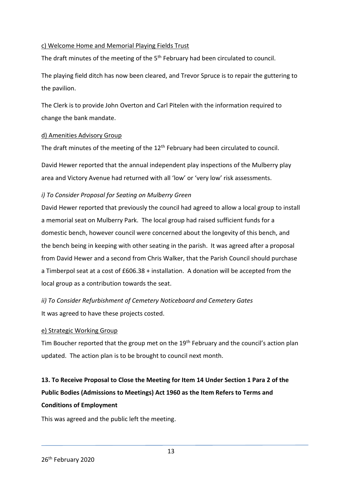#### c) Welcome Home and Memorial Playing Fields Trust

The draft minutes of the meeting of the 5<sup>th</sup> February had been circulated to council.

The playing field ditch has now been cleared, and Trevor Spruce is to repair the guttering to the pavilion.

The Clerk is to provide John Overton and Carl Pitelen with the information required to change the bank mandate.

#### d) Amenities Advisory Group

The draft minutes of the meeting of the  $12<sup>th</sup>$  February had been circulated to council.

David Hewer reported that the annual independent play inspections of the Mulberry play area and Victory Avenue had returned with all 'low' or 'very low' risk assessments.

#### *i) To Consider Proposal for Seating on Mulberry Green*

David Hewer reported that previously the council had agreed to allow a local group to install a memorial seat on Mulberry Park. The local group had raised sufficient funds for a domestic bench, however council were concerned about the longevity of this bench, and the bench being in keeping with other seating in the parish. It was agreed after a proposal from David Hewer and a second from Chris Walker, that the Parish Council should purchase a Timberpol seat at a cost of £606.38 + installation. A donation will be accepted from the local group as a contribution towards the seat.

*ii) To Consider Refurbishment of Cemetery Noticeboard and Cemetery Gates* It was agreed to have these projects costed.

#### e) Strategic Working Group

Tim Boucher reported that the group met on the 19<sup>th</sup> February and the council's action plan updated. The action plan is to be brought to council next month.

# **13. To Receive Proposal to Close the Meeting for Item 14 Under Section 1 Para 2 of the Public Bodies (Admissions to Meetings) Act 1960 as the Item Refers to Terms and Conditions of Employment**

This was agreed and the public left the meeting.